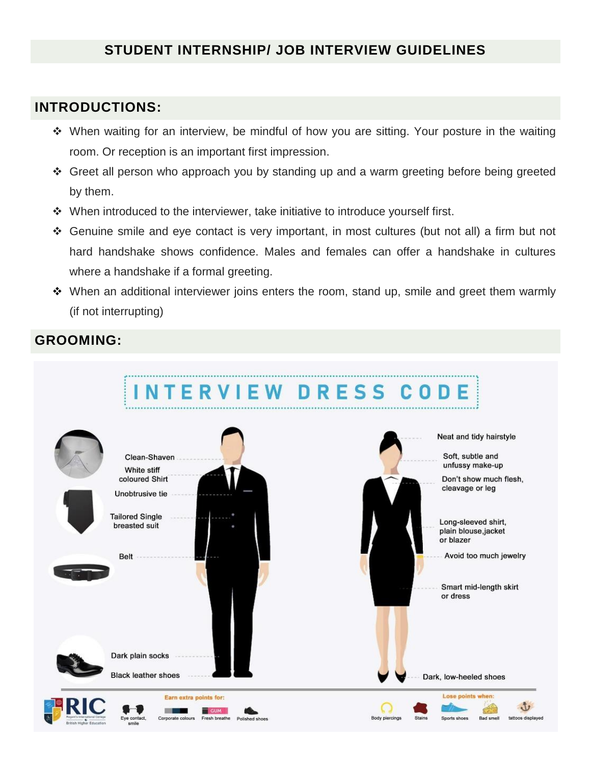# **STUDENT INTERNSHIP/ JOB INTERVIEW GUIDELINES**

## **INTRODUCTIONS:**

- When waiting for an interview, be mindful of how you are sitting. Your posture in the waiting room. Or reception is an important first impression.
- Greet all person who approach you by standing up and a warm greeting before being greeted by them.
- When introduced to the interviewer, take initiative to introduce yourself first.
- Genuine smile and eye contact is very important, in most cultures (but not all) a firm but not hard handshake shows confidence. Males and females can offer a handshake in cultures where a handshake if a formal greeting.
- When an additional interviewer joins enters the room, stand up, smile and greet them warmly (if not interrupting)

## **GROOMING:**